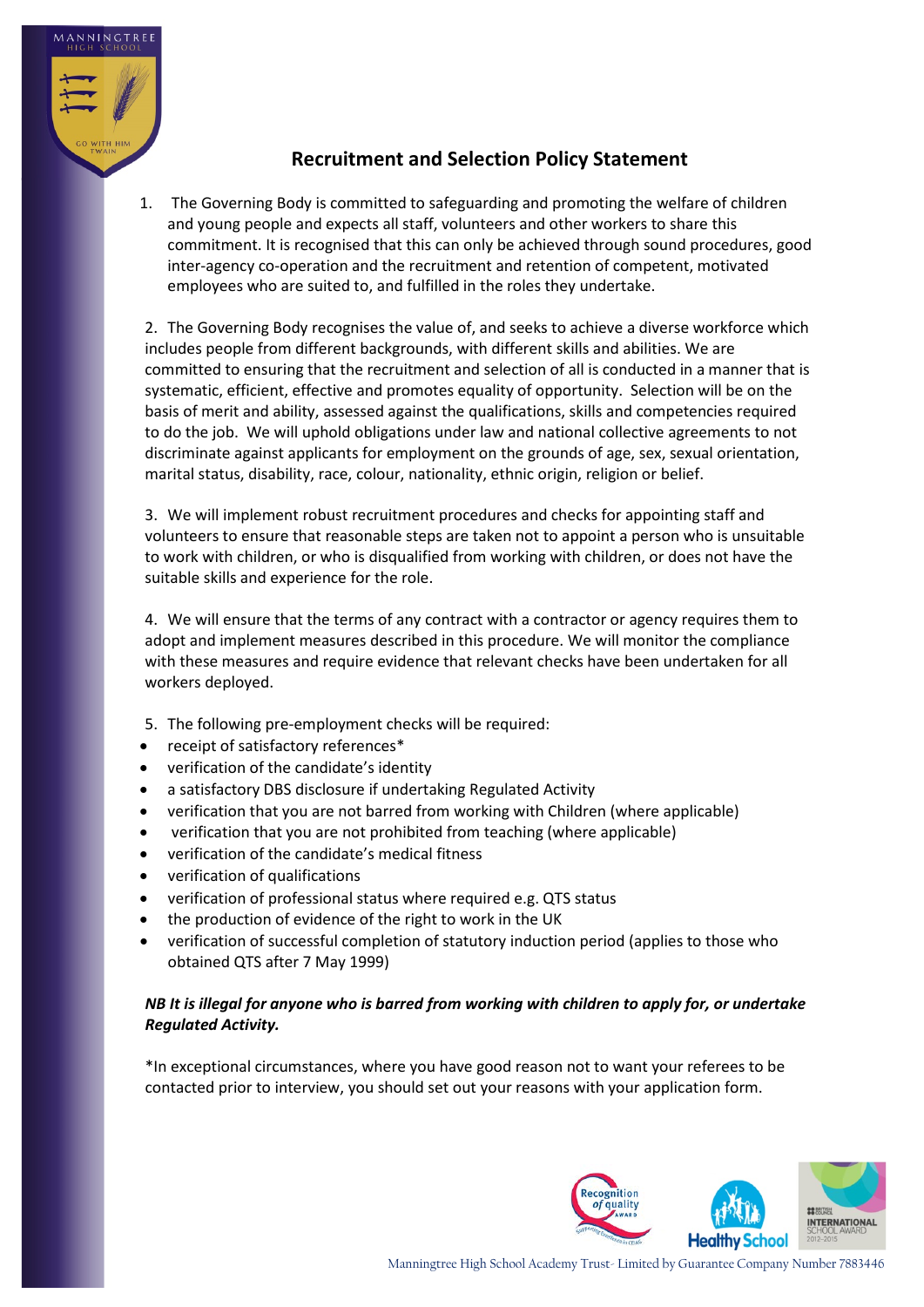

## **Recruitment and Selection Policy Statement**

1. The Governing Body is committed to safeguarding and promoting the welfare of children and young people and expects all staff, volunteers and other workers to share this commitment. It is recognised that this can only be achieved through sound procedures, good inter-agency co-operation and the recruitment and retention of competent, motivated employees who are suited to, and fulfilled in the roles they undertake.

2. The Governing Body recognises the value of, and seeks to achieve a diverse workforce which includes people from different backgrounds, with different skills and abilities. We are committed to ensuring that the recruitment and selection of all is conducted in a manner that is systematic, efficient, effective and promotes equality of opportunity. Selection will be on the basis of merit and ability, assessed against the qualifications, skills and competencies required to do the job. We will uphold obligations under law and national collective agreements to not discriminate against applicants for employment on the grounds of age, sex, sexual orientation, marital status, disability, race, colour, nationality, ethnic origin, religion or belief.

3. We will implement robust recruitment procedures and checks for appointing staff and volunteers to ensure that reasonable steps are taken not to appoint a person who is unsuitable to work with children, or who is disqualified from working with children, or does not have the suitable skills and experience for the role.

4. We will ensure that the terms of any contract with a contractor or agency requires them to adopt and implement measures described in this procedure. We will monitor the compliance with these measures and require evidence that relevant checks have been undertaken for all workers deployed.

- 5. The following pre-employment checks will be required:
- receipt of satisfactory references\*
- verification of the candidate's identity
- a satisfactory DBS disclosure if undertaking Regulated Activity
- verification that you are not barred from working with Children (where applicable)
- verification that you are not prohibited from teaching (where applicable)
- verification of the candidate's medical fitness
- verification of qualifications
- verification of professional status where required e.g. QTS status
- the production of evidence of the right to work in the UK
- verification of successful completion of statutory induction period (applies to those who obtained QTS after 7 May 1999)

## *NB It is illegal for anyone who is barred from working with children to apply for, or undertake Regulated Activity.*

\*In exceptional circumstances, where you have good reason not to want your referees to be contacted prior to interview, you should set out your reasons with your application form.